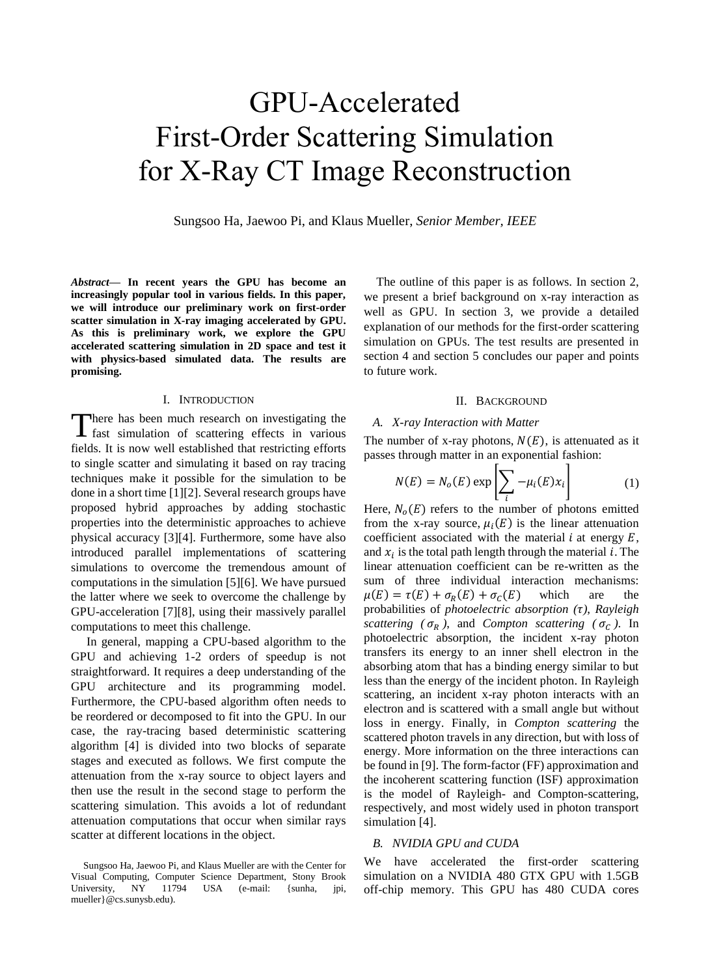# GPU-Accelerated First-Order Scattering Simulation for X-Ray CT Image Reconstruction

Sungsoo Ha, Jaewoo Pi, and Klaus Mueller, *Senior Member, IEEE*

*Abstract***— In recent years the GPU has become an increasingly popular tool in various fields. In this paper, we will introduce our preliminary work on first-order scatter simulation in X-ray imaging accelerated by GPU. As this is preliminary work, we explore the GPU accelerated scattering simulation in 2D space and test it with physics-based simulated data. The results are promising.**

## I. INTRODUCTION

here has been much research on investigating the There has been much research on investigating the fast simulation of scattering effects in various fields. It is now well established that restricting efforts to single scatter and simulating it based on ray tracing techniques make it possible for the simulation to be done in a short time [1][2]. Several research groups have proposed hybrid approaches by adding stochastic properties into the deterministic approaches to achieve physical accuracy [3][4]. Furthermore, some have also introduced parallel implementations of scattering simulations to overcome the tremendous amount of computations in the simulation [5][6]. We have pursued the latter where we seek to overcome the challenge by GPU-acceleration [7][8], using their massively parallel computations to meet this challenge.

 In general, mapping a CPU-based algorithm to the GPU and achieving 1-2 orders of speedup is not straightforward. It requires a deep understanding of the GPU architecture and its programming model. Furthermore, the CPU-based algorithm often needs to be reordered or decomposed to fit into the GPU. In our case, the ray-tracing based deterministic scattering algorithm [4] is divided into two blocks of separate stages and executed as follows. We first compute the attenuation from the x-ray source to object layers and then use the result in the second stage to perform the scattering simulation. This avoids a lot of redundant attenuation computations that occur when similar rays scatter at different locations in the object.

The outline of this paper is as follows. In section 2, we present a brief background on x-ray interaction as well as GPU. In section 3, we provide a detailed explanation of our methods for the first-order scattering simulation on GPUs. The test results are presented in section 4 and section 5 concludes our paper and points to future work.

## II. BACKGROUND

### *A. X-ray Interaction with Matter*

The number of x-ray photons,  $N(E)$ , is attenuated as it passes through matter in an exponential fashion:

$$
N(E) = N_o(E) \exp\left[\sum_i -\mu_i(E)x_i\right]
$$
 (1)

Here,  $N<sub>o</sub>(E)$  refers to the number of photons emitted from the x-ray source,  $\mu_i(E)$  is the linear attenuation coefficient associated with the material  $i$  at energy  $E$ , and  $x_i$  is the total path length through the material i. The linear attenuation coefficient can be re-written as the sum of three individual interaction mechanisms:  $\mu(E) = \tau(E) + \sigma_R(E) + \sigma_C(E)$  which are the probabilities of *photoelectric absorption ( )*, *Rayleigh scattering*  $(\sigma_R)$ , and *Compton scattering*  $(\sigma_C)$ . In photoelectric absorption, the incident x-ray photon transfers its energy to an inner shell electron in the absorbing atom that has a binding energy similar to but less than the energy of the incident photon. In Rayleigh scattering, an incident x-ray photon interacts with an electron and is scattered with a small angle but without loss in energy. Finally, in *Compton scattering* the scattered photon travels in any direction, but with loss of energy. More information on the three interactions can be found in [9]. The form-factor (FF) approximation and the incoherent scattering function (ISF) approximation is the model of Rayleigh- and Compton-scattering, respectively, and most widely used in photon transport simulation [4].

### *B. NVIDIA GPU and CUDA*

We have accelerated the first-order scattering simulation on a NVIDIA 480 GTX GPU with 1.5GB off-chip memory. This GPU has 480 CUDA cores

Sungsoo Ha, Jaewoo Pi, and Klaus Mueller are with the Center for Visual Computing, Computer Science Department, Stony Brook University, NY 11794 USA (e-mail: {sunha, jpi, mueller}@cs.sunysb.edu).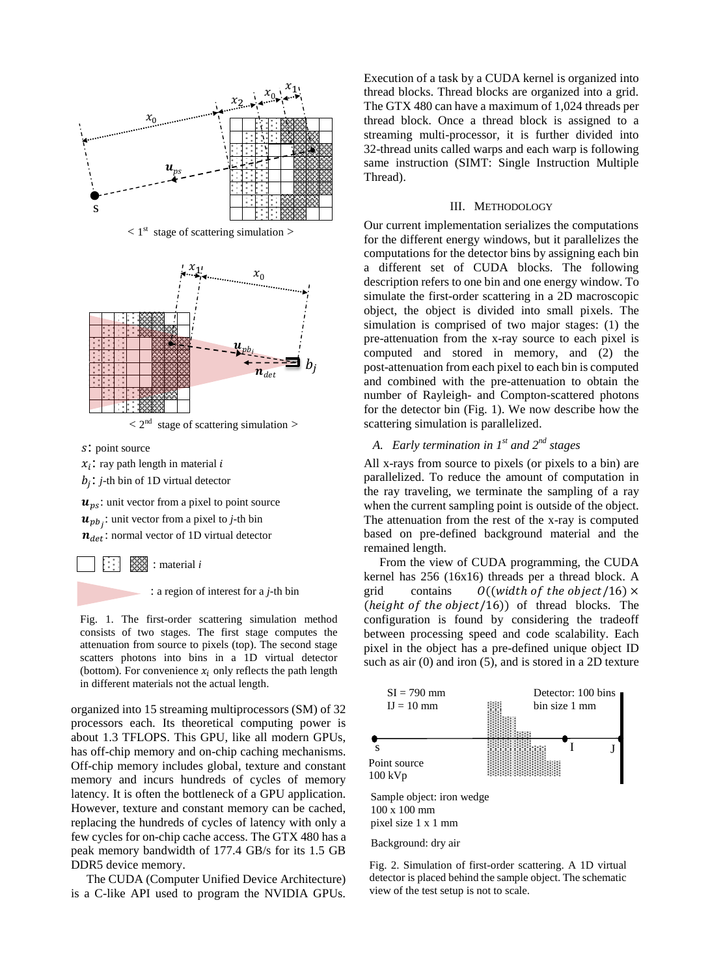

 $\langle 1^{st}$  stage of scattering simulation  $>$ 



 $< 2<sup>nd</sup>$ stage of scattering simulation >

: point source

 $x_i$ : ray path length in material i  $b_j$ : *j*-th bin of 1D virtual detector

 $u_{ns}$ : unit vector from a pixel to point source  $\boldsymbol{u}_{pb_j}$ : unit vector from a pixel to *j*-th bin  $n_{det}$ : normal vector of 1D virtual detector

> 88 ▩ : material *i*

> > : a region of interest for a *j*-th bin

Fig. 1. The first-order scattering simulation method consists of two stages. The first stage computes the attenuation from source to pixels (top). The second stage scatters photons into bins in a 1D virtual detector (bottom). For convenience  $x_i$  only reflects the path length in different materials not the actual length.

organized into 15 streaming multiprocessors (SM) of 32 processors each. Its theoretical computing power is about 1.3 TFLOPS. This GPU, like all modern GPUs, has off-chip memory and on-chip caching mechanisms. Off-chip memory includes global, texture and constant memory and incurs hundreds of cycles of memory latency. It is often the bottleneck of a GPU application. However, texture and constant memory can be cached, replacing the hundreds of cycles of latency with only a few cycles for on-chip cache access. The GTX 480 has a peak memory bandwidth of 177.4 GB/s for its 1.5 GB DDR5 device memory.

 The CUDA (Computer Unified Device Architecture) is a C-like API used to program the NVIDIA GPUs.

Execution of a task by a CUDA kernel is organized into thread blocks. Thread blocks are organized into a grid. The GTX 480 can have a maximum of 1,024 threads per thread block. Once a thread block is assigned to a streaming multi-processor, it is further divided into 32-thread units called warps and each warp is following same instruction (SIMT: Single Instruction Multiple Thread).

## III. METHODOLOGY

Our current implementation serializes the computations for the different energy windows, but it parallelizes the computations for the detector bins by assigning each bin a different set of CUDA blocks. The following description refers to one bin and one energy window. To simulate the first-order scattering in a 2D macroscopic object, the object is divided into small pixels. The simulation is comprised of two major stages: (1) the pre-attenuation from the x-ray source to each pixel is computed and stored in memory, and (2) the post-attenuation from each pixel to each bin is computed and combined with the pre-attenuation to obtain the number of Rayleigh- and Compton-scattered photons for the detector bin (Fig. 1). We now describe how the scattering simulation is parallelized.

# *A. Early termination in 1st and 2nd stages*

All x-rays from source to pixels (or pixels to a bin) are parallelized. To reduce the amount of computation in the ray traveling, we terminate the sampling of a ray when the current sampling point is outside of the object. The attenuation from the rest of the x-ray is computed based on pre-defined background material and the remained length.

 From the view of CUDA programming, the CUDA kernel has 256 (16x16) threads per a thread block. A  $O((width of the object/16) \times$ grid contains  $(height of the object/16))$  of thread blocks. The configuration is found by considering the tradeoff between processing speed and code scalability. Each pixel in the object has a pre-defined unique object ID such as air (0) and iron (5), and is stored in a 2D texture



Fig. 2. Simulation of first-order scattering. A 1D virtual detector is placed behind the sample object. The schematic view of the test setup is not to scale.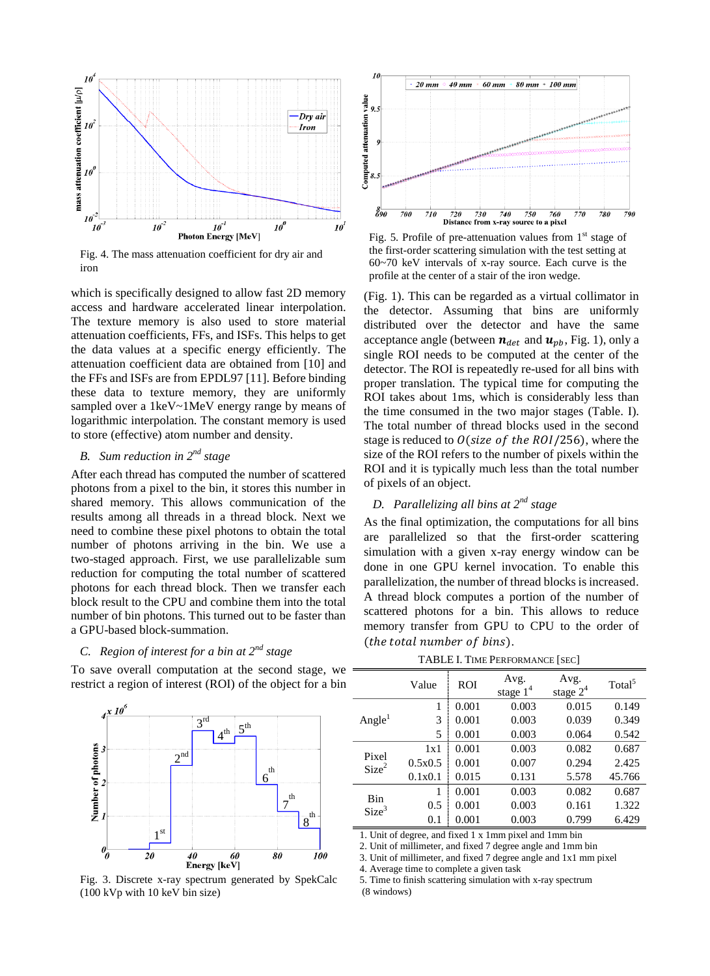

Fig. 4. The mass attenuation coefficient for dry air and iron

which is specifically designed to allow fast 2D memory access and hardware accelerated linear interpolation. The texture memory is also used to store material attenuation coefficients, FFs, and ISFs. This helps to get the data values at a specific energy efficiently. The attenuation coefficient data are obtained from [10] and the FFs and ISFs are from EPDL97 [11]. Before binding these data to texture memory, they are uniformly sampled over a 1keV~1MeV energy range by means of logarithmic interpolation. The constant memory is used to store (effective) atom number and density.

# *B. Sum reduction in 2nd stage*

After each thread has computed the number of scattered photons from a pixel to the bin, it stores this number in shared memory. This allows communication of the results among all threads in a thread block. Next we need to combine these pixel photons to obtain the total number of photons arriving in the bin. We use a two-staged approach. First, we use parallelizable sum reduction for computing the total number of scattered photons for each thread block. Then we transfer each block result to the CPU and combine them into the total number of bin photons. This turned out to be faster than a GPU-based block-summation.

# *C. Region of interest for a bin at 2nd stage*

To save overall computation at the second stage, we restrict a region of interest (ROI) of the object for a bin



Fig. 3. Discrete x-ray spectrum generated by SpekCalc (100 kVp with 10 keV bin size)



Fig. 5. Profile of pre-attenuation values from  $1<sup>st</sup>$  stage of the first-order scattering simulation with the test setting at 60~70 keV intervals of x-ray source. Each curve is the profile at the center of a stair of the iron wedge.

(Fig. 1). This can be regarded as a virtual collimator in the detector. Assuming that bins are uniformly distributed over the detector and have the same acceptance angle (between  $n_{det}$  and  $u_{nb}$ , Fig. 1), only a single ROI needs to be computed at the center of the detector. The ROI is repeatedly re-used for all bins with proper translation. The typical time for computing the ROI takes about 1ms, which is considerably less than the time consumed in the two major stages (Table. I). The total number of thread blocks used in the second stage is reduced to  $O(size of the ROI / 256)$ , where the size of the ROI refers to the number of pixels within the ROI and it is typically much less than the total number of pixels of an object.

# *D. Parallelizing all bins at 2nd stage*

As the final optimization, the computations for all bins are parallelized so that the first-order scattering simulation with a given x-ray energy window can be done in one GPU kernel invocation. To enable this parallelization, the number of thread blocks is increased. A thread block computes a portion of the number of scattered photons for a bin. This allows to reduce memory transfer from GPU to CPU to the order of (the total number of bins).

TABLE I. TIME PERFORMANCE [SEC]

|                            | Value   | <b>ROI</b> | Avg.<br>stage $14$ | Avg.<br>stage $2^4$ | Total <sup>5</sup> |
|----------------------------|---------|------------|--------------------|---------------------|--------------------|
| Angle <sup>1</sup>         | 1       | 0.001      | 0.003              | 0.015               | 0.149              |
|                            | 3       | 0.001      | 0.003              | 0.039               | 0.349              |
|                            | 5       | 0.001      | 0.003              | 0.064               | 0.542              |
| Pixel<br>Size <sup>2</sup> | 1x1     | 0.001      | 0.003              | 0.082               | 0.687              |
|                            | 0.5x0.5 | 0.001      | 0.007              | 0.294               | 2.425              |
|                            | 0.1x0.1 | 0.015      | 0.131              | 5.578               | 45.766             |
| Bin<br>Size <sup>3</sup>   | 1       | 0.001      | 0.003              | 0.082               | 0.687              |
|                            | 0.5     | 0.001      | 0.003              | 0.161               | 1.322              |
|                            | 0.1     | 0.001      | 0.003              | 0.799               | 6.429              |

1. Unit of degree, and fixed 1 x 1mm pixel and 1mm bin

2. Unit of millimeter, and fixed 7 degree angle and 1mm bin

3. Unit of millimeter, and fixed 7 degree angle and 1x1 mm pixel

4. Average time to complete a given task

5. Time to finish scattering simulation with x-ray spectrum

(8 windows)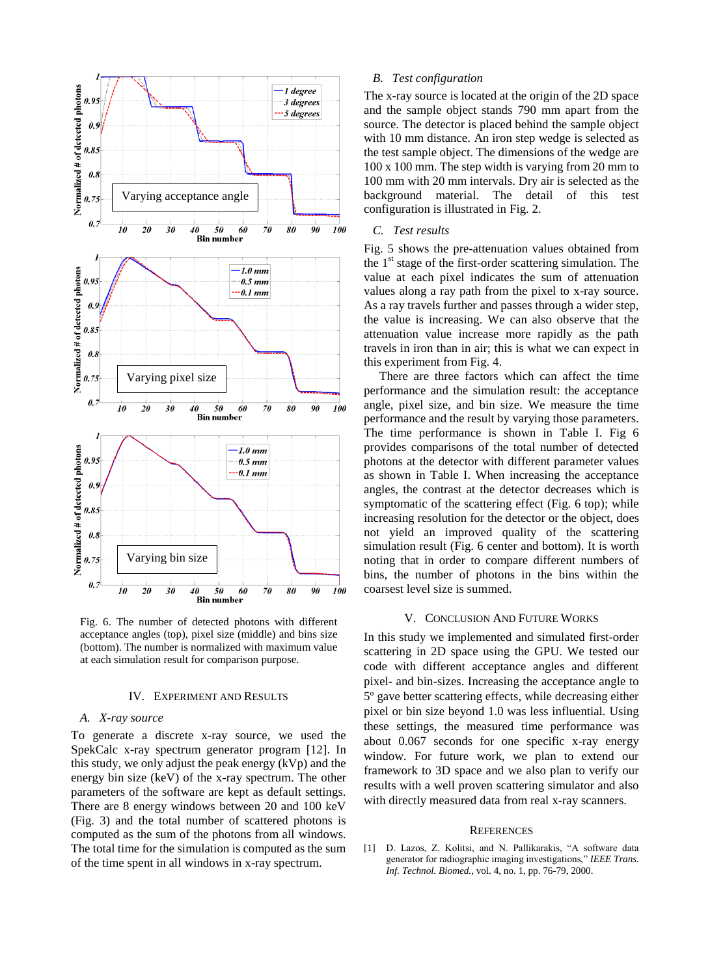

Fig. 6. The number of detected photons with different acceptance angles (top), pixel size (middle) and bins size (bottom). The number is normalized with maximum value at each simulation result for comparison purpose.

#### IV. EXPERIMENT AND RESULTS

# *A. X-ray source*

To generate a discrete x-ray source, we used the SpekCalc x-ray spectrum generator program [12]. In this study, we only adjust the peak energy (kVp) and the energy bin size (keV) of the x-ray spectrum. The other parameters of the software are kept as default settings. There are 8 energy windows between 20 and 100 keV (Fig. 3) and the total number of scattered photons is computed as the sum of the photons from all windows. The total time for the simulation is computed as the sum of the time spent in all windows in x-ray spectrum.

# *B. Test configuration*

The x-ray source is located at the origin of the 2D space and the sample object stands 790 mm apart from the source. The detector is placed behind the sample object with 10 mm distance. An iron step wedge is selected as the test sample object. The dimensions of the wedge are 100 x 100 mm. The step width is varying from 20 mm to 100 mm with 20 mm intervals. Dry air is selected as the background material. The detail of this test configuration is illustrated in Fig. 2.

# *C. Test results*

Fig. 5 shows the pre-attenuation values obtained from the 1<sup>st</sup> stage of the first-order scattering simulation. The value at each pixel indicates the sum of attenuation values along a ray path from the pixel to x-ray source. As a ray travels further and passes through a wider step, the value is increasing. We can also observe that the attenuation value increase more rapidly as the path travels in iron than in air; this is what we can expect in this experiment from Fig. 4.

 There are three factors which can affect the time performance and the simulation result: the acceptance angle, pixel size, and bin size. We measure the time performance and the result by varying those parameters. The time performance is shown in Table I. Fig 6 provides comparisons of the total number of detected photons at the detector with different parameter values as shown in Table I. When increasing the acceptance angles, the contrast at the detector decreases which is symptomatic of the scattering effect (Fig. 6 top); while increasing resolution for the detector or the object, does not yield an improved quality of the scattering simulation result (Fig. 6 center and bottom). It is worth noting that in order to compare different numbers of bins, the number of photons in the bins within the coarsest level size is summed.

#### V. CONCLUSION AND FUTURE WORKS

In this study we implemented and simulated first-order scattering in 2D space using the GPU. We tested our code with different acceptance angles and different pixel- and bin-sizes. Increasing the acceptance angle to 5º gave better scattering effects, while decreasing either pixel or bin size beyond 1.0 was less influential. Using these settings, the measured time performance was about 0.067 seconds for one specific x-ray energy window. For future work, we plan to extend our framework to 3D space and we also plan to verify our results with a well proven scattering simulator and also with directly measured data from real x-ray scanners.

#### **REFERENCES**

[1] D. Lazos, Z. Kolitsi, and N. Pallikarakis, "A software data generator for radiographic imaging investigations," *IEEE Trans. Inf. Technol. Biomed.*, vol. 4, no. 1, pp. 76-79, 2000.